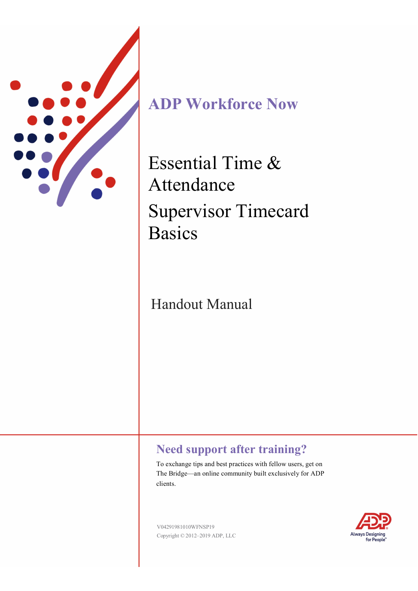

**ADP Workforce Now** 

Essential Time & Attendance Supervisor Timecard Basics

# Handout Manual

# **Need support after training?**

To exchange tips and best practices with fellow users, get on The Bridge—an online community built exclusively for ADP clients.

V04291981010WFNSP19 Copyright © 2012–2019 ADP, LLC

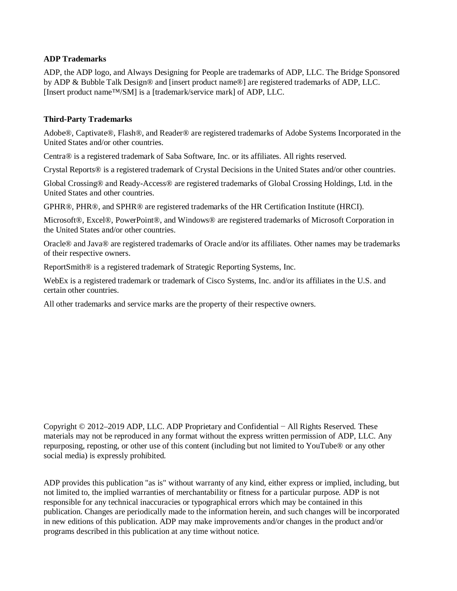#### **ADP Trademarks**

ADP, the ADP logo, and Always Designing for People are trademarks of ADP, LLC. The Bridge Sponsored by ADP & Bubble Talk Design® and [insert product name®] are registered trademarks of ADP, LLC. [Insert product name™/SM] is a [trademark/service mark] of ADP, LLC.

#### **Third-Party Trademarks**

Adobe®, Captivate®, Flash®, and Reader® are registered trademarks of Adobe Systems Incorporated in the United States and/or other countries.

Centra® is a registered trademark of Saba Software, Inc. or its affiliates. All rights reserved.

Crystal Reports® is a registered trademark of Crystal Decisions in the United States and/or other countries.

Global Crossing® and Ready-Access® are registered trademarks of Global Crossing Holdings, Ltd. in the United States and other countries.

GPHR®, PHR®, and SPHR® are registered trademarks of the HR Certification Institute (HRCI).

Microsoft®, Excel®, PowerPoint®, and Windows® are registered trademarks of Microsoft Corporation in the United States and/or other countries.

Oracle® and Java® are registered trademarks of Oracle and/or its affiliates. Other names may be trademarks of their respective owners.

ReportSmith® is a registered trademark of Strategic Reporting Systems, Inc.

WebEx is a registered trademark or trademark of Cisco Systems, Inc. and/or its affiliates in the U.S. and certain other countries.

All other trademarks and service marks are the property of their respective owners.

Copyright © 2012–2019 ADP, LLC. ADP Proprietary and Confidential − All Rights Reserved. These materials may not be reproduced in any format without the express written permission of ADP, LLC. Any repurposing, reposting, or other use of this content (including but not limited to YouTube® or any other social media) is expressly prohibited.

ADP provides this publication "as is" without warranty of any kind, either express or implied, including, but not limited to, the implied warranties of merchantability or fitness for a particular purpose. ADP is not responsible for any technical inaccuracies or typographical errors which may be contained in this publication. Changes are periodically made to the information herein, and such changes will be incorporated in new editions of this publication. ADP may make improvements and/or changes in the product and/or programs described in this publication at any time without notice.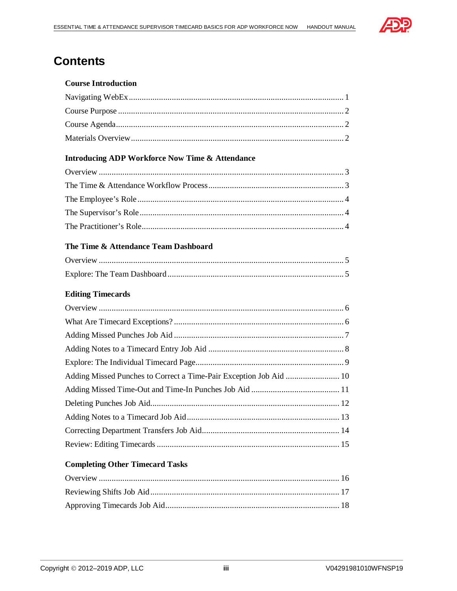

# **Contents**

#### **Course Introduction**

#### **Introducing ADP Workforce Now Time & Attendance**

#### The Time & Attendance Team Dashboard

#### **Editing Timecards**

| Adding Missed Punches to Correct a Time-Pair Exception Job Aid  10 |  |
|--------------------------------------------------------------------|--|
|                                                                    |  |
|                                                                    |  |
|                                                                    |  |
|                                                                    |  |
|                                                                    |  |
|                                                                    |  |

#### **Completing Other Timecard Tasks**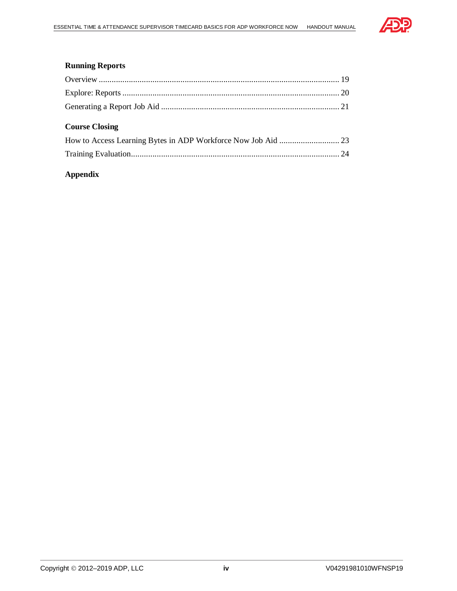

#### **Running Reports**

### **Course Closing**

#### **Appendix**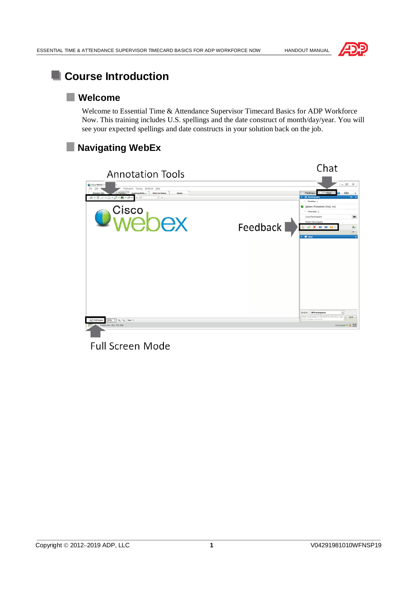



# **Course Introduction**

### **Welcome**

Welcome to Essential Time & Attendance Supervisor Timecard Basics for ADP Workforce Now. This training includes U.S. spellings and the date construct of month/day/year. You will see your expected spellings and date constructs in your solution back on the job.

# **Navigating WebEx**



**Full Screen Mode**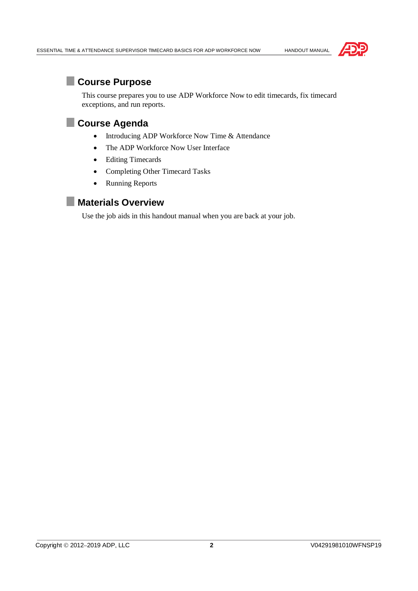

# **Course Purpose**

This course prepares you to use ADP Workforce Now to edit timecards, fix timecard exceptions, and run reports.

# **Course Agenda**

- Introducing ADP Workforce Now Time & Attendance
- · The ADP Workforce Now User Interface
- · Editing Timecards
- · Completing Other Timecard Tasks
- Running Reports

### **Materials Overview**

Use the job aids in this handout manual when you are back at your job.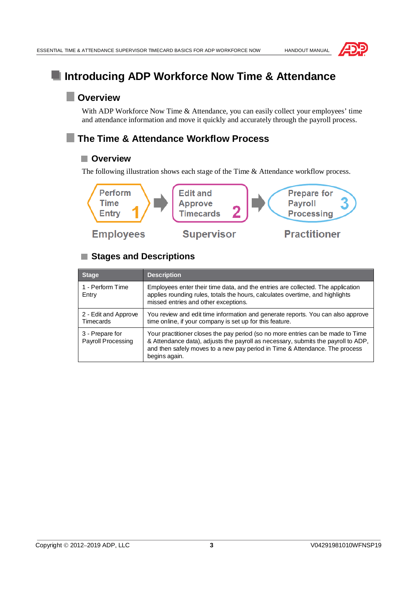

# **Introducing ADP Workforce Now Time & Attendance**

# **Overview**

With ADP Workforce Now Time & Attendance, you can easily collect your employees' time and attendance information and move it quickly and accurately through the payroll process.

# **The Time & Attendance Workflow Process**

#### **Overview**

The following illustration shows each stage of the Time & Attendance workflow process.



# **Stages and Descriptions**

| <b>Stage</b>                             | <b>Description</b>                                                                                                                                                                                                                                                   |
|------------------------------------------|----------------------------------------------------------------------------------------------------------------------------------------------------------------------------------------------------------------------------------------------------------------------|
| 1 - Perform Time<br>Entry                | Employees enter their time data, and the entries are collected. The application<br>applies rounding rules, totals the hours, calculates overtime, and highlights<br>missed entries and other exceptions.                                                             |
| 2 - Edit and Approve<br><b>Timecards</b> | You review and edit time information and generate reports. You can also approve<br>time online, if your company is set up for this feature.                                                                                                                          |
| 3 - Prepare for<br>Payroll Processing    | Your practitioner closes the pay period (so no more entries can be made to Time<br>& Attendance data), adjusts the payroll as necessary, submits the payroll to ADP,<br>and then safely moves to a new pay period in Time & Attendance. The process<br>begins again. |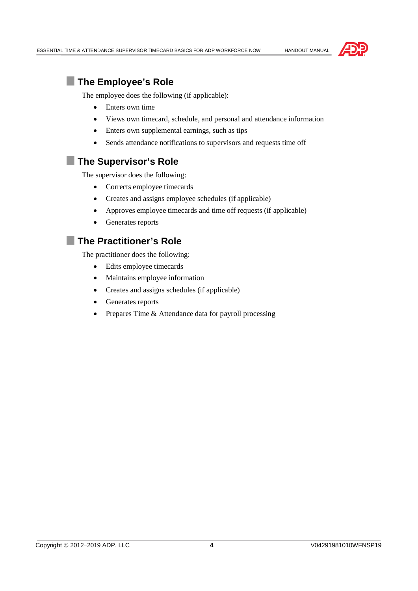



### **The Employee's Role**

The employee does the following (if applicable):

- Enters own time
- · Views own timecard, schedule, and personal and attendance information
- Enters own supplemental earnings, such as tips
- Sends attendance notifications to supervisors and requests time off

# **The Supervisor's Role**

The supervisor does the following:

- · Corrects employee timecards
- Creates and assigns employee schedules (if applicable)
- Approves employee timecards and time off requests (if applicable)
- · Generates reports

# **The Practitioner's Role**

The practitioner does the following:

- · Edits employee timecards
- · Maintains employee information
- · Creates and assigns schedules (if applicable)
- · Generates reports
- Prepares Time & Attendance data for payroll processing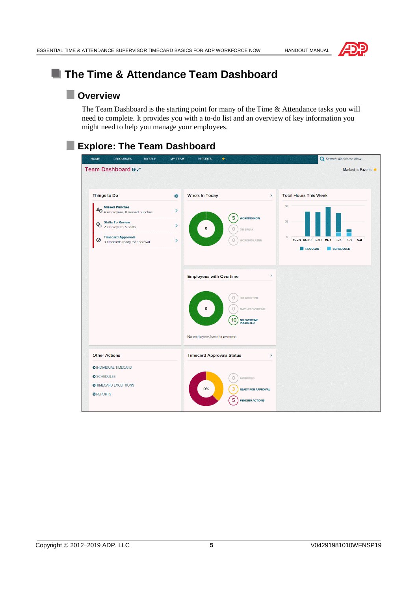



# **The Time & Attendance Team Dashboard**

# **Overview**

The Team Dashboard is the starting point for many of the Time & Attendance tasks you will need to complete. It provides you with a to-do list and an overview of key information you might need to help you manage your employees.

# **Explore: The Team Dashboard**

| <b>HOME</b><br><b>RESOURCES</b>                                    | <b>MYSELF</b> | <b>MY TEAM</b> | <b>REPORTS</b>                                                    | $\star$ |                                                                                         |               | Q Search Workforce Now                                                                                |
|--------------------------------------------------------------------|---------------|----------------|-------------------------------------------------------------------|---------|-----------------------------------------------------------------------------------------|---------------|-------------------------------------------------------------------------------------------------------|
| Team Dashboard 0.                                                  |               |                |                                                                   |         |                                                                                         |               | Marked as Favorite                                                                                    |
| <b>Things to Do</b>                                                |               | o.             | <b>Who's In Today</b>                                             |         |                                                                                         | $\rightarrow$ | <b>Total Hours This Week</b>                                                                          |
| <b>Missed Punches</b><br>49 4 employees, 8 missed punches          |               | $\rightarrow$  |                                                                   |         |                                                                                         |               | 50                                                                                                    |
| <b>Shifts To Review</b><br>$\mathbb{Q}_9$<br>2 employees, 5 shifts |               | $\rightarrow$  | 5                                                                 |         | 5<br><b>WORKING NOW</b><br><b>ON BREAK</b>                                              |               | 25                                                                                                    |
| <b>Timecard Approvals</b><br>◉<br>3 timecards ready for approval   |               | $\rightarrow$  |                                                                   |         | <b>WORKING LATER</b>                                                                    |               | $\mathbf 0$<br>F-3<br>$S-4$<br>S-28 M-29 T-30<br>$W-1$<br>$T-2$<br><b>REGULAR</b><br><b>SCHEDULED</b> |
|                                                                    |               |                | <b>Employees with Overtime</b><br>No employees have hit overtime. |         | <b>HIT OVERTIME</b><br><b>MAY HIT OVERTIME</b><br>10<br><b>NO OVERTIME</b><br>PREDICTED | $\,$          |                                                                                                       |
| <b>Other Actions</b>                                               |               |                | <b>Timecard Approvals Status</b>                                  |         |                                                                                         | $\rightarrow$ |                                                                                                       |
| <b>O INDIVIDUAL TIMECARD</b>                                       |               |                |                                                                   |         |                                                                                         |               |                                                                                                       |
| <b>O</b> SCHEDULES<br><b>O</b> TIMECARD EXCEPTIONS                 |               |                |                                                                   |         | O<br><b>APPROVED</b>                                                                    |               |                                                                                                       |
| <b>O</b> REPORTS                                                   |               |                | 0%                                                                |         | 3<br><b>READY FOR APPROVAL</b><br>5<br><b>PENDING ACTIONS</b>                           |               |                                                                                                       |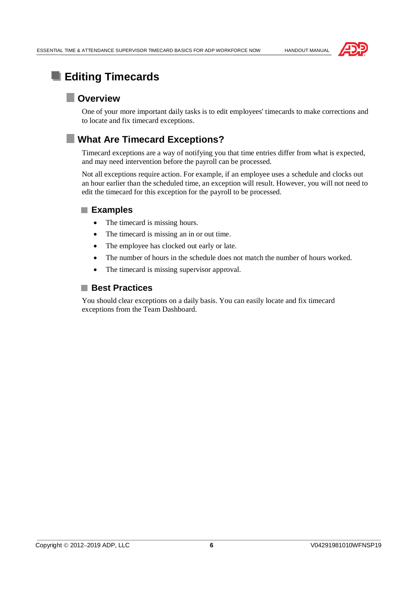

# **Editing Timecards**

# **Overview**

One of your more important daily tasks is to edit employees' timecards to make corrections and to locate and fix timecard exceptions.

# **What Are Timecard Exceptions?**

Timecard exceptions are a way of notifying you that time entries differ from what is expected, and may need intervention before the payroll can be processed.

Not all exceptions require action. For example, if an employee uses a schedule and clocks out an hour earlier than the scheduled time, an exception will result. However, you will not need to edit the timecard for this exception for the payroll to be processed.

#### **Examples**

- The timecard is missing hours.
- The timecard is missing an in or out time.
- The employee has clocked out early or late.
- The number of hours in the schedule does not match the number of hours worked.
- The timecard is missing supervisor approval.

### ■ Best Practices

You should clear exceptions on a daily basis. You can easily locate and fix timecard exceptions from the Team Dashboard.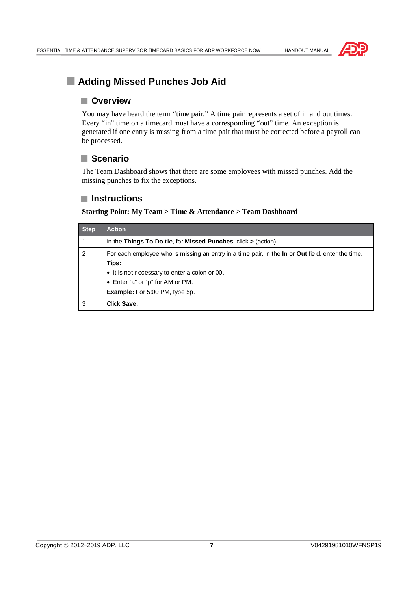



# **Adding Missed Punches Job Aid**

#### **Overview**

You may have heard the term "time pair." A time pair represents a set of in and out times. Every "in" time on a timecard must have a corresponding "out" time. An exception is generated if one entry is missing from a time pair that must be corrected before a payroll can be processed.

#### **Scenario**

The Team Dashboard shows that there are some employees with missed punches. Add the missing punches to fix the exceptions.

#### **Instructions**

**Starting Point: My Team > Time & Attendance > Team Dashboard**

| <b>Step</b>    | <b>Action</b>                                                                                                   |
|----------------|-----------------------------------------------------------------------------------------------------------------|
|                | In the Things To Do tile, for Missed Punches, click $>$ (action).                                               |
| $\overline{2}$ | For each employee who is missing an entry in a time pair, in the <b>In</b> or <b>Out</b> field, enter the time. |
|                | Tips:                                                                                                           |
|                | • It is not necessary to enter a colon or 00.                                                                   |
|                | • Enter "a" or "p" for AM or PM.                                                                                |
|                | <b>Example:</b> For 5:00 PM, type 5p.                                                                           |
| 3              | Click Save.                                                                                                     |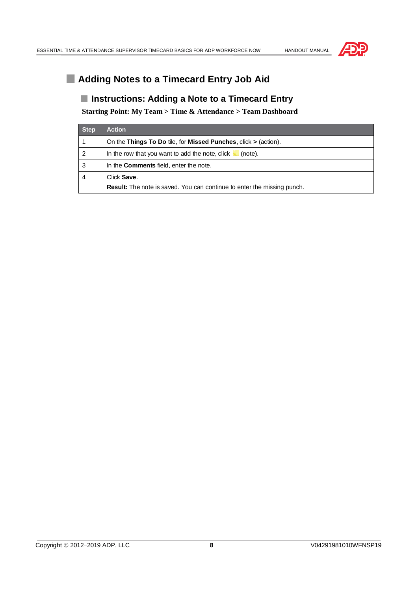

# **Adding Notes to a Timecard Entry Job Aid**

#### **Instructions: Adding a Note to a Timecard Entry**

**Starting Point: My Team > Time & Attendance > Team Dashboard**

| <b>Step</b> | <b>Action</b>                                                                  |
|-------------|--------------------------------------------------------------------------------|
|             | On the Things To Do tile, for Missed Punches, click $>$ (action).              |
| 2           | In the row that you want to add the note, click<br>(note).                     |
| 3           | In the <b>Comments</b> field, enter the note.                                  |
| 4           | Click Save.                                                                    |
|             | <b>Result:</b> The note is saved. You can continue to enter the missing punch. |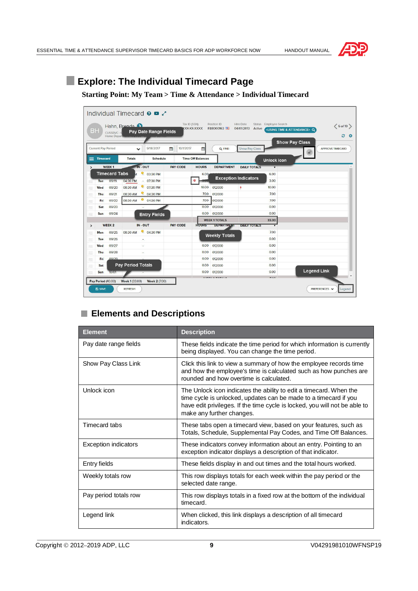



# **Explore: The Individual Timecard Page**

#### **Starting Point: My Team > Time & Attendance > Individual Timecard**

|               | <b>BH</b>                            | CUSSRVC - 0<br>Home Depart | Individual Timecard <b>O O</b><br>Hahn, Bronda | <b>Pay Date Range Fields</b> |                 | Tax ID (SSN)<br><b>KXX-XX-XXXXX</b> | Position ID<br>FB8000163 | <b>Hire Date</b><br>04/01/2013<br>Active | Status Employee Search  | <using &="" attendance="" time=""> Q</using> | $6 of 10$<br>e<br>$\bullet$ |
|---------------|--------------------------------------|----------------------------|------------------------------------------------|------------------------------|-----------------|-------------------------------------|--------------------------|------------------------------------------|-------------------------|----------------------------------------------|-----------------------------|
|               | <b>Current Pay Period</b>            |                            | v                                              | 9/18/2017                    | 曲<br>10/1/2017  | 曲                                   | Q FIND                   | <b>Show Pay Class</b>                    |                         | <b>Show Pay Class</b>                        | <b>APPROVE TIMECARD</b>     |
| ≡             | <b>Timecard</b>                      |                            | <b>Totals</b>                                  | <b>Schedule</b>              |                 | <b>Time Off Balances</b>            |                          |                                          | <b>Unlock icon</b>      |                                              |                             |
|               |                                      | <b>WEEK1</b>               | IN - OUT                                       |                              | <b>PAY CODE</b> | <b>HOURS</b>                        | <b>DEPARTMENT</b>        | <b>DAILY TOTALS</b>                      | $\overline{\mathbf{v}}$ |                                              |                             |
|               |                                      | <b>Timecard Tabs</b>       | ó                                              | 03:30 PM                     |                 | 6.00                                |                          |                                          | 6.00                    |                                              |                             |
|               | Tue                                  | 09/19                      | 04:30 PM                                       | $-07:30$ PM                  |                 | ۰                                   |                          | <b>Exception Indicators</b>              | 3.00                    |                                              |                             |
|               | Wed                                  | 09/20                      | ę<br>08:30 AM                                  | 07:30 PM                     |                 | 10.00                               | 012000                   | ٠                                        | 10.00                   |                                              |                             |
| ÷             | Thu                                  | 09/21                      | ē<br>08:30 AM                                  | 04:30 PM                     |                 | 7.00                                | 012000                   |                                          | 7.00                    |                                              |                             |
| $\equiv$      | Fri                                  | 09/22                      | 08:30 AM                                       | 0 04:30 PM                   |                 | 7.00                                | 012000                   |                                          | 7.00                    |                                              |                             |
| 晨             | Sat                                  | 09/23                      |                                                |                              |                 | 0.00                                | 012000                   |                                          | 0.00                    |                                              |                             |
| 言             | Sun                                  | 09/24                      |                                                | <b>Entry Fields</b>          |                 | 0.00                                | 012000                   |                                          | 0.00                    |                                              |                             |
|               |                                      |                            |                                                |                              |                 |                                     | <b>WEEK 1 TOTALS</b>     |                                          | 33.00                   |                                              |                             |
| $\rightarrow$ |                                      | <b>WEEK 2</b>              | IN - OUT                                       |                              | <b>PAY CODE</b> | HOURS                               | <b>DEPARTMPY</b>         | <b>DAILY COTALS</b>                      |                         |                                              |                             |
| ≡             | Mon                                  | 09/25                      | 08:30 AM                                       | 04:30 PM                     |                 |                                     | <b>Weekly Totals</b>     |                                          | 7.00                    |                                              |                             |
| 崫             | Tue                                  | 09/26                      | ÷                                              |                              |                 |                                     |                          |                                          | 0.00                    |                                              |                             |
| 走             | Wed                                  | 09/27                      | ÷.                                             |                              |                 | 0.00                                | 012000                   |                                          | 0.00                    |                                              |                             |
| $=$           | Thu                                  | 09/28                      |                                                |                              |                 | 0.00                                | 012000                   |                                          | 0.00                    |                                              |                             |
| 晨             | Fri                                  | 09/29                      |                                                |                              |                 | 0.00                                | 012000                   |                                          | 0.00                    |                                              |                             |
| 声             | Sat                                  |                            | <b>Pay Period Totals</b>                       |                              |                 | 0.00                                | 012000                   |                                          | 0.00                    |                                              |                             |
| =             | Sun                                  | 10/01                      |                                                |                              |                 | 0.00                                | 012000                   |                                          | 0.00                    | <b>Legend Link</b>                           |                             |
|               | Pay Period (40.00)<br><b>EQ SAVE</b> |                            | Week 1 (33.00)<br><b>REFRESH</b>               | <b>Week 2 (7.00)</b>         |                 |                                     | .                        |                                          | - - -                   |                                              | PREFERENCES V<br>Legend     |

# **Elements and Descriptions**

| <b>Element</b>        | <b>Description</b>                                                                                                                                                                                                                                |
|-----------------------|---------------------------------------------------------------------------------------------------------------------------------------------------------------------------------------------------------------------------------------------------|
| Pay date range fields | These fields indicate the time period for which information is currently<br>being displayed. You can change the time period.                                                                                                                      |
| Show Pay Class Link   | Click this link to view a summary of how the employee records time<br>and how the employee's time is calculated such as how punches are<br>rounded and how overtime is calculated.                                                                |
| Unlock icon           | The Unlock icon indicates the ability to edit a timecard. When the<br>time cycle is unlocked, updates can be made to a timecard if you<br>have edit privileges. If the time cycle is locked, you will not be able to<br>make any further changes. |
| Timecard tabs         | These tabs open a timecard view, based on your features, such as<br>Totals, Schedule, Supplemental Pay Codes, and Time Off Balances.                                                                                                              |
| Exception indicators  | These indicators convey information about an entry. Pointing to an<br>exception indicator displays a description of that indicator.                                                                                                               |
| Entry fields          | These fields display in and out times and the total hours worked.                                                                                                                                                                                 |
| Weekly totals row     | This row displays totals for each week within the pay period or the<br>selected date range.                                                                                                                                                       |
| Pay period totals row | This row displays totals in a fixed row at the bottom of the individual<br>timecard.                                                                                                                                                              |
| Legend link           | When clicked, this link displays a description of all timecard<br>indicators.                                                                                                                                                                     |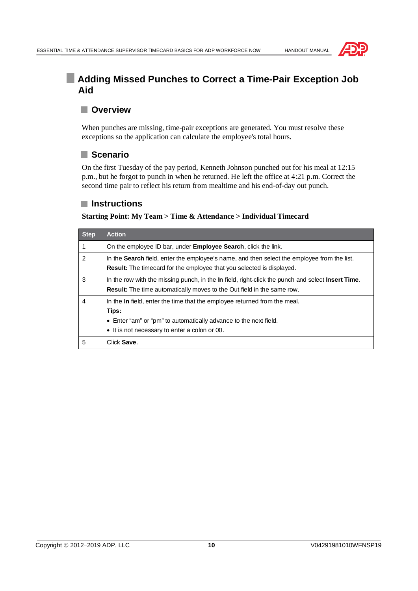

# **Adding Missed Punches to Correct a Time-Pair Exception Job Aid**

### **Overview**

When punches are missing, time-pair exceptions are generated. You must resolve these exceptions so the application can calculate the employee's total hours.

#### **Scenario**

On the first Tuesday of the pay period, Kenneth Johnson punched out for his meal at 12:15 p.m., but he forgot to punch in when he returned. He left the office at 4:21 p.m. Correct the second time pair to reflect his return from mealtime and his end-of-day out punch.

#### **Instructions**

| <b>Step</b> | <b>Action</b>                                                                                                                                                                                           |  |
|-------------|---------------------------------------------------------------------------------------------------------------------------------------------------------------------------------------------------------|--|
| 1           | On the employee ID bar, under <b>Employee Search</b> , click the link.                                                                                                                                  |  |
| 2           | In the <b>Search</b> field, enter the employee's name, and then select the employee from the list.<br><b>Result:</b> The timecard for the employee that you selected is displayed.                      |  |
| 3           | In the row with the missing punch, in the In field, right-click the punch and select <b>Insert Time</b> .<br><b>Result:</b> The time automatically moves to the Out field in the same row.              |  |
| 4           | In the In field, enter the time that the employee returned from the meal.<br>Tips:<br>• Enter "am" or "pm" to automatically advance to the next field.<br>• It is not necessary to enter a colon or 00. |  |
| 5           | Click Save.                                                                                                                                                                                             |  |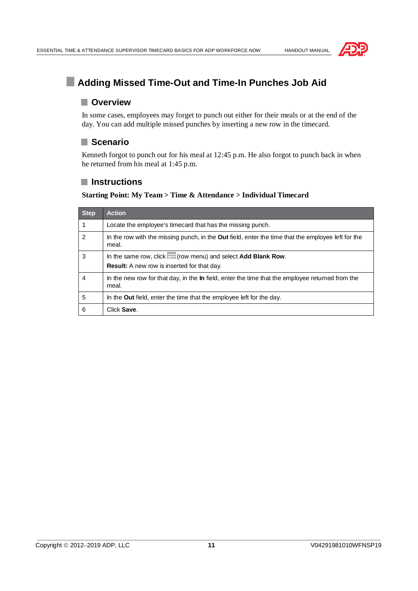

# **Adding Missed Time-Out and Time-In Punches Job Aid**

#### **Overview**

In some cases, employees may forget to punch out either for their meals or at the end of the day. You can add multiple missed punches by inserting a new row in the timecard.

#### **Scenario**

Kenneth forgot to punch out for his meal at 12:45 p.m. He also forgot to punch back in when he returned from his meal at 1:45 p.m.

#### **Instructions**

| <b>Step</b>    | <b>Action</b>                                                                                                      |  |
|----------------|--------------------------------------------------------------------------------------------------------------------|--|
|                | Locate the employee's timecard that has the missing punch.                                                         |  |
| $\overline{2}$ | In the row with the missing punch, in the <b>Out</b> field, enter the time that the employee left for the<br>meal. |  |
| 3              | In the same row, click $\equiv$ (row menu) and select Add Blank Row.                                               |  |
|                | <b>Result:</b> A new row is inserted for that day.                                                                 |  |
| 4              | In the new row for that day, in the <b>In</b> field, enter the time that the employee returned from the<br>meal.   |  |
| 5              | In the <b>Out</b> field, enter the time that the employee left for the day.                                        |  |
| 6              | Click Save.                                                                                                        |  |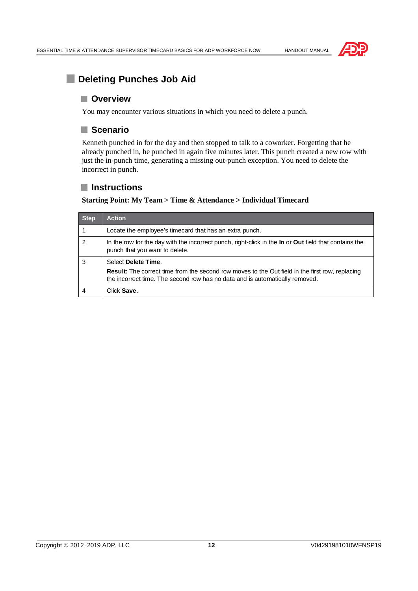

# **Deleting Punches Job Aid**

#### **Overview**

You may encounter various situations in which you need to delete a punch.

#### **Scenario**

Kenneth punched in for the day and then stopped to talk to a coworker. Forgetting that he already punched in, he punched in again five minutes later. This punch created a new row with just the in-punch time, generating a missing out-punch exception. You need to delete the incorrect in punch.

#### **Instructions**

| <b>Step</b>    | <b>Action</b>                                                                                                                                                                          |  |
|----------------|----------------------------------------------------------------------------------------------------------------------------------------------------------------------------------------|--|
|                | Locate the employee's timecard that has an extra punch.                                                                                                                                |  |
| $\overline{2}$ | In the row for the day with the incorrect punch, right-click in the <b>In</b> or <b>Out</b> field that contains the<br>punch that you want to delete.                                  |  |
| 3              | Select Delete Time.                                                                                                                                                                    |  |
|                | <b>Result:</b> The correct time from the second row moves to the Out field in the first row, replacing<br>the incorrect time. The second row has no data and is automatically removed. |  |
|                | Click Save.                                                                                                                                                                            |  |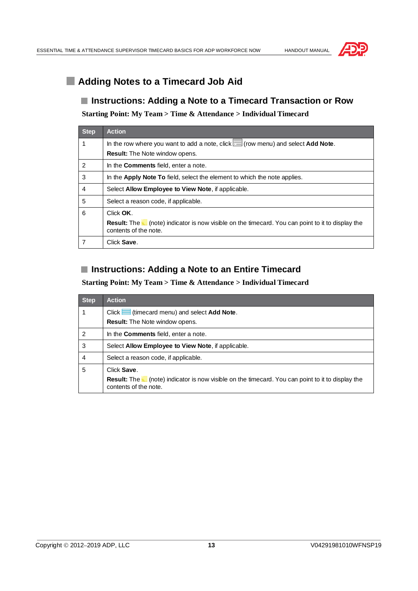



# **Adding Notes to a Timecard Job Aid**

#### **Instructions: Adding a Note to a Timecard Transaction or Row**

**Starting Point: My Team > Time & Attendance > Individual Timecard**

| <b>Step</b>    | <b>Action</b>                                                                                                                            |  |
|----------------|------------------------------------------------------------------------------------------------------------------------------------------|--|
|                | In the row where you want to add a note, click $\Box$ (row menu) and select <b>Add Note</b> .                                            |  |
|                | <b>Result:</b> The Note window opens.                                                                                                    |  |
| 2              | In the <b>Comments</b> field, enter a note.                                                                                              |  |
| 3              | In the <b>Apply Note To</b> field, select the element to which the note applies.                                                         |  |
| $\overline{4}$ | Select Allow Employee to View Note, if applicable.                                                                                       |  |
| 5              | Select a reason code, if applicable.                                                                                                     |  |
| 6              | Click OK.                                                                                                                                |  |
|                | <b>Result:</b> The <b>c</b> (note) indicator is now visible on the timecard. You can point to it to display the<br>contents of the note. |  |
|                | Click Save.                                                                                                                              |  |

### **Instructions: Adding a Note to an Entire Timecard**

| Step           | <b>Action</b>                                                                                                                            |  |
|----------------|------------------------------------------------------------------------------------------------------------------------------------------|--|
|                | $Click$ $\equiv$ (timecard menu) and select <b>Add Note</b> .                                                                            |  |
|                | <b>Result:</b> The Note window opens.                                                                                                    |  |
| $\overline{2}$ | In the <b>Comments</b> field, enter a note.                                                                                              |  |
| 3              | Select Allow Employee to View Note, if applicable.                                                                                       |  |
| 4              | Select a reason code, if applicable.                                                                                                     |  |
| 5              | Click Save.                                                                                                                              |  |
|                | <b>Result:</b> The <b>o</b> (note) indicator is now visible on the timecard. You can point to it to display the<br>contents of the note. |  |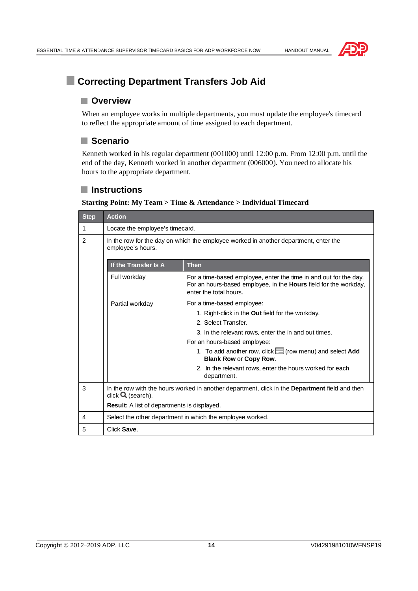



# **E** Correcting Department Transfers Job Aid

#### **Overview**

When an employee works in multiple departments, you must update the employee's timecard to reflect the appropriate amount of time assigned to each department.

### **Scenario**

Kenneth worked in his regular department (001000) until 12:00 p.m. From 12:00 p.m. until the end of the day, Kenneth worked in another department (006000). You need to allocate his hours to the appropriate department.

#### **Instructions**

| <b>Step</b>                                        | <b>Action</b>                                                                                                                        |                                                                                                                                                                 |
|----------------------------------------------------|--------------------------------------------------------------------------------------------------------------------------------------|-----------------------------------------------------------------------------------------------------------------------------------------------------------------|
| 1                                                  | Locate the employee's timecard.                                                                                                      |                                                                                                                                                                 |
| 2                                                  | In the row for the day on which the employee worked in another department, enter the<br>employee's hours.                            |                                                                                                                                                                 |
|                                                    | If the Transfer Is A                                                                                                                 | <b>Then</b>                                                                                                                                                     |
|                                                    | Full workday                                                                                                                         | For a time-based employee, enter the time in and out for the day.<br>For an hours-based employee, in the Hours field for the workday,<br>enter the total hours. |
|                                                    | Partial workday                                                                                                                      | For a time-based employee:                                                                                                                                      |
|                                                    |                                                                                                                                      | 1. Right-click in the <b>Out</b> field for the workday.                                                                                                         |
|                                                    |                                                                                                                                      | 2. Select Transfer.                                                                                                                                             |
|                                                    |                                                                                                                                      | 3. In the relevant rows, enter the in and out times.                                                                                                            |
|                                                    |                                                                                                                                      | For an hours-based employee:                                                                                                                                    |
|                                                    |                                                                                                                                      | 1. To add another row, click $\equiv$ (row menu) and select Add<br><b>Blank Row or Copy Row.</b>                                                                |
|                                                    |                                                                                                                                      | 2. In the relevant rows, enter the hours worked for each<br>department.                                                                                         |
| 3                                                  | In the row with the hours worked in another department, click in the <b>Department</b> field and then<br>click $\mathbf Q$ (search). |                                                                                                                                                                 |
| <b>Result:</b> A list of departments is displayed. |                                                                                                                                      |                                                                                                                                                                 |
| 4                                                  | Select the other department in which the employee worked.                                                                            |                                                                                                                                                                 |
| 5                                                  | Click Save                                                                                                                           |                                                                                                                                                                 |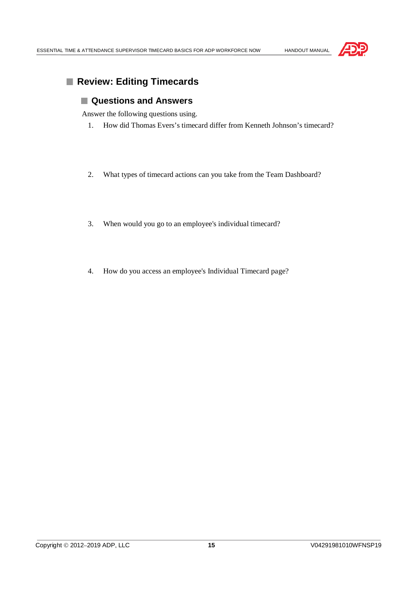

# **Review: Editing Timecards**

#### **Questions and Answers**

Answer the following questions using.

- 1. How did Thomas Evers's timecard differ from Kenneth Johnson's timecard?
- 2. What types of timecard actions can you take from the Team Dashboard?
- 3. When would you go to an employee's individual timecard?
- 4. How do you access an employee's Individual Timecard page?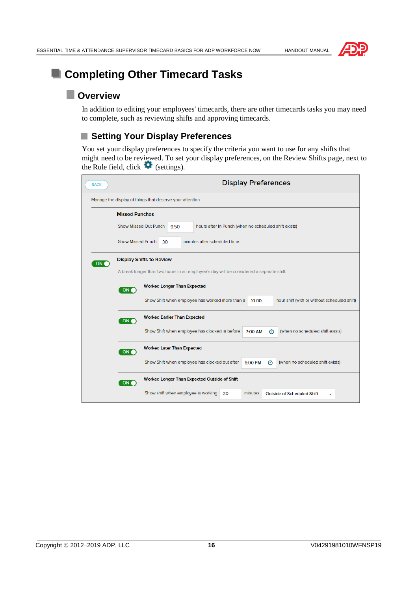

# **E** Completing Other Timecard Tasks

# **Overview**

In addition to editing your employees' timecards, there are other timecards tasks you may need to complete, such as reviewing shifts and approving timecards.

### ■ Setting Your Display Preferences

You set your display preferences to specify the criteria you want to use for any shifts that might need to be reviewed. To set your display preferences, on the Review Shifts page, next to the Rule field, click  $\blacksquare$  (settings).

| <b>BACK</b>                                              | <b>Display Preferences</b>                                                                                                 |  |  |
|----------------------------------------------------------|----------------------------------------------------------------------------------------------------------------------------|--|--|
| Manage the display of things that deserve your attention |                                                                                                                            |  |  |
|                                                          | <b>Missed Punches</b>                                                                                                      |  |  |
|                                                          | <b>Show Missed Out Punch</b><br>hours after In Punch (when no scheduled shift exists)<br>9.50                              |  |  |
|                                                          | <b>Show Missed Punch</b><br>minutes after scheduled time<br>30                                                             |  |  |
| ON O                                                     | <b>Display Shifts to Review</b><br>A break longer than two hours in an employee's day will be considered a separate shift. |  |  |
|                                                          | <b>Worked Longer Than Expected</b>                                                                                         |  |  |
|                                                          | ON (<br>Show Shift when employee has worked more than a<br>hour shift (with or without scheduled shift)<br>10.00           |  |  |
|                                                          | <b>Worked Earlier Than Expected</b><br>ON (                                                                                |  |  |
|                                                          | (when no scheduled shift exists)<br>Show Shift when employee has clocked in before<br>7:00 AM<br>⊙                         |  |  |
|                                                          | <b>Worked Later Than Expected</b><br>ON (                                                                                  |  |  |
|                                                          | Show Shift when employee has clocked out after<br>(when no scheduled shift exists)<br>6:00 PM<br>⊙                         |  |  |
|                                                          | Worked Longer Than Expected Outside of Shift<br>ON (                                                                       |  |  |
|                                                          | Show shift when employee is working<br>minutes<br>30<br>Outside of Scheduled Shift                                         |  |  |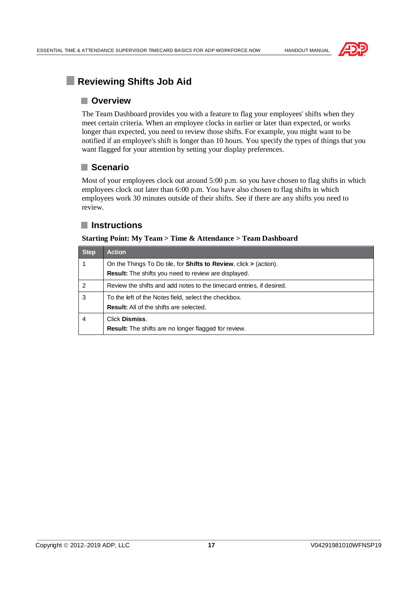



# **Reviewing Shifts Job Aid**

#### **Overview**

The Team Dashboard provides you with a feature to flag your employees' shifts when they meet certain criteria. When an employee clocks in earlier or later than expected, or works longer than expected, you need to review those shifts. For example, you might want to be notified if an employee's shift is longer than 10 hours. You specify the types of things that you want flagged for your attention by setting your display preferences.

### **Scenario**

Most of your employees clock out around 5:00 p.m. so you have chosen to flag shifts in which employees clock out later than 6:00 p.m. You have also chosen to flag shifts in which employees work 30 minutes outside of their shifts. See if there are any shifts you need to review.

### **Instructions**

#### **Starting Point: My Team > Time & Attendance > Team Dashboard**

| <b>Step</b> | <b>Action</b>                                                                                                                                 |
|-------------|-----------------------------------------------------------------------------------------------------------------------------------------------|
|             | On the Things To Do tile, for <b>Shifts to Review</b> , click $\geq$ (action).<br><b>Result:</b> The shifts you need to review are displayed. |
| 2           | Review the shifts and add notes to the timecard entries, if desired.                                                                          |
| 3           | To the left of the Notes field, select the checkbox.<br><b>Result:</b> All of the shifts are selected.                                        |
| 4           | Click Dismiss.<br><b>Result:</b> The shifts are no longer flagged for review.                                                                 |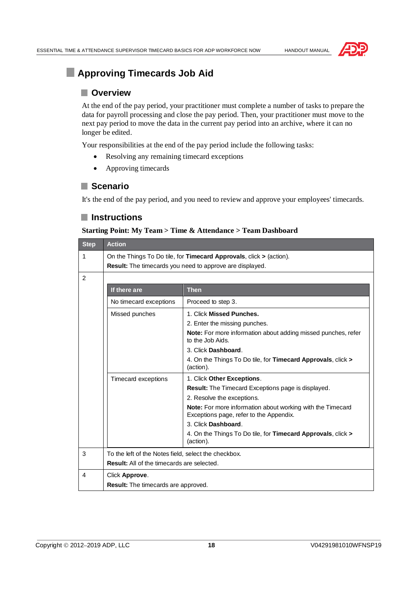

# **Approving Timecards Job Aid**

#### **Overview**

At the end of the pay period, your practitioner must complete a number of tasks to prepare the data for payroll processing and close the pay period. Then, your practitioner must move to the next pay period to move the data in the current pay period into an archive, where it can no longer be edited.

Your responsibilities at the end of the pay period include the following tasks:

- · Resolving any remaining timecard exceptions
- Approving timecards

#### **Scenario**

It's the end of the pay period, and you need to review and approve your employees' timecards.

#### **Instructions**

#### **Starting Point: My Team > Time & Attendance > Team Dashboard**

| <b>Step</b> | <b>Action</b>                                                                                                                            |                                                                                                                    |
|-------------|------------------------------------------------------------------------------------------------------------------------------------------|--------------------------------------------------------------------------------------------------------------------|
| 1           | On the Things To Do tile, for Timecard Approvals, click $>$ (action).<br><b>Result:</b> The timecards you need to approve are displayed. |                                                                                                                    |
| 2           |                                                                                                                                          |                                                                                                                    |
|             | If there are                                                                                                                             | <b>Then</b>                                                                                                        |
|             | No timecard exceptions                                                                                                                   | Proceed to step 3.                                                                                                 |
|             | Missed punches                                                                                                                           | 1. Click Missed Punches.                                                                                           |
|             |                                                                                                                                          | 2. Enter the missing punches.<br>Note: For more information about adding missed punches, refer<br>to the Job Aids. |
|             |                                                                                                                                          | 3. Click Dashboard.                                                                                                |
|             |                                                                                                                                          | 4. On the Things To Do tile, for Timecard Approvals, click ><br>(action).                                          |
|             | Timecard exceptions                                                                                                                      | 1. Click Other Exceptions.                                                                                         |
|             |                                                                                                                                          | <b>Result:</b> The Timecard Exceptions page is displayed.                                                          |
|             |                                                                                                                                          | 2. Resolve the exceptions.                                                                                         |
|             |                                                                                                                                          | Note: For more information about working with the Timecard<br>Exceptions page, refer to the Appendix.              |
|             |                                                                                                                                          | 3. Click Dashboard.                                                                                                |
|             |                                                                                                                                          | 4. On the Things To Do tile, for <b>Timecard Approvals</b> , click ><br>(action).                                  |
| 3           | To the left of the Notes field, select the checkbox.                                                                                     |                                                                                                                    |
|             | <b>Result:</b> All of the timecards are selected.                                                                                        |                                                                                                                    |
| 4           | Click Approve.                                                                                                                           |                                                                                                                    |
|             | Result: The timecards are approved.                                                                                                      |                                                                                                                    |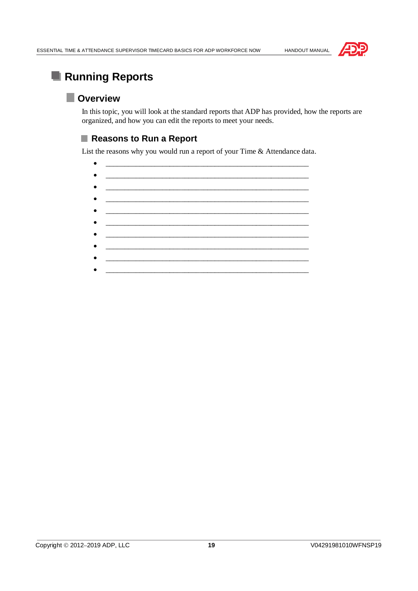



# **Running Reports**

# **Overview**

In this topic, you will look at the standard reports that ADP has provided, how the reports are organized, and how you can edit the reports to meet your needs.

### ■ Reasons to Run a Report

List the reasons why you would run a report of your Time & Attendance data.

· \_\_\_\_\_\_\_\_\_\_\_\_\_\_\_\_\_\_\_\_\_\_\_\_\_\_\_\_\_\_\_\_\_\_\_\_\_\_\_\_\_\_\_\_\_\_\_\_\_\_\_\_\_\_ · \_\_\_\_\_\_\_\_\_\_\_\_\_\_\_\_\_\_\_\_\_\_\_\_\_\_\_\_\_\_\_\_\_\_\_\_\_\_\_\_\_\_\_\_\_\_\_\_\_\_\_\_\_\_ · \_\_\_\_\_\_\_\_\_\_\_\_\_\_\_\_\_\_\_\_\_\_\_\_\_\_\_\_\_\_\_\_\_\_\_\_\_\_\_\_\_\_\_\_\_\_\_\_\_\_\_\_\_\_ · \_\_\_\_\_\_\_\_\_\_\_\_\_\_\_\_\_\_\_\_\_\_\_\_\_\_\_\_\_\_\_\_\_\_\_\_\_\_\_\_\_\_\_\_\_\_\_\_\_\_\_\_\_\_ · \_\_\_\_\_\_\_\_\_\_\_\_\_\_\_\_\_\_\_\_\_\_\_\_\_\_\_\_\_\_\_\_\_\_\_\_\_\_\_\_\_\_\_\_\_\_\_\_\_\_\_\_\_\_ · \_\_\_\_\_\_\_\_\_\_\_\_\_\_\_\_\_\_\_\_\_\_\_\_\_\_\_\_\_\_\_\_\_\_\_\_\_\_\_\_\_\_\_\_\_\_\_\_\_\_\_\_\_\_ · \_\_\_\_\_\_\_\_\_\_\_\_\_\_\_\_\_\_\_\_\_\_\_\_\_\_\_\_\_\_\_\_\_\_\_\_\_\_\_\_\_\_\_\_\_\_\_\_\_\_\_\_\_\_  $\frac{1}{2}$  ,  $\frac{1}{2}$  ,  $\frac{1}{2}$  ,  $\frac{1}{2}$  ,  $\frac{1}{2}$  ,  $\frac{1}{2}$  ,  $\frac{1}{2}$  ,  $\frac{1}{2}$  ,  $\frac{1}{2}$  ,  $\frac{1}{2}$  ,  $\frac{1}{2}$  ,  $\frac{1}{2}$  ,  $\frac{1}{2}$  ,  $\frac{1}{2}$  ,  $\frac{1}{2}$  ,  $\frac{1}{2}$  ,  $\frac{1}{2}$  ,  $\frac{1}{2}$  ,  $\frac{1$ · \_\_\_\_\_\_\_\_\_\_\_\_\_\_\_\_\_\_\_\_\_\_\_\_\_\_\_\_\_\_\_\_\_\_\_\_\_\_\_\_\_\_\_\_\_\_\_\_\_\_\_\_\_\_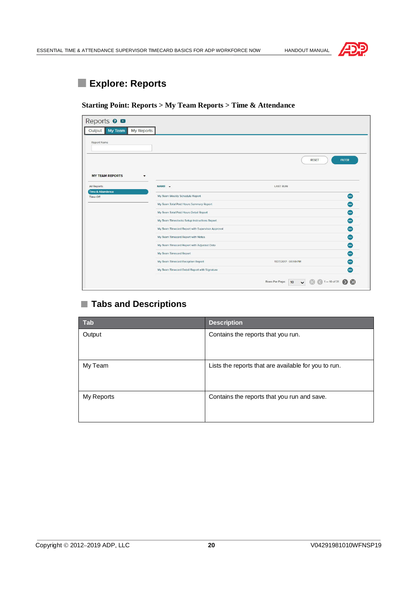

# **Explore: Reports**

#### **Starting Point: Reports > My Team Reports > Time & Attendance**

| Reports <b>0 0</b>                     |                                                  |                                                      |                |
|----------------------------------------|--------------------------------------------------|------------------------------------------------------|----------------|
| My Team<br><b>My Reports</b><br>Output |                                                  |                                                      |                |
| Report Name                            |                                                  |                                                      |                |
|                                        |                                                  | <b>RESET</b>                                         | <b>FILTER</b>  |
| <b>MY TEAM REPORTS</b><br>٠            |                                                  |                                                      |                |
| <b>All Reports</b>                     | NAME -                                           | <b>LAST RUN</b>                                      |                |
| Time & Attendance<br>Time Off          | My Team Weekly Schedule Report                   |                                                      | $\sim$         |
|                                        | My Team Total Paid Hours Summary Report          |                                                      | Θ              |
|                                        | My Team Total Paid Hours Detail Report           |                                                      | ◓              |
|                                        | My Team Timeclocks Setup Instructions Report     |                                                      | ⊕              |
|                                        | My Team Timecard Report with Supervisor Approval |                                                      | ⊜              |
|                                        | My Team Timecard Report with Notes               |                                                      | Θ              |
|                                        | My Team Timecard Report with Adjusted Date       |                                                      | $\bullet$      |
|                                        | My Team Timecard Report                          |                                                      | ⊝              |
|                                        | My Team Timecard Exception Report                | 11/27/2017 - 03:59 PM                                | $\blacksquare$ |
|                                        | My Team Timecard Detail Report with Signature    |                                                      | men.           |
|                                        |                                                  | Rows Per Page:<br>$1 - 10$ of 31<br>10 <sup>10</sup> |                |

### **Tabs and Descriptions**

| <b>Tab</b> | <b>Description</b>                                   |
|------------|------------------------------------------------------|
| Output     | Contains the reports that you run.                   |
| My Team    | Lists the reports that are available for you to run. |
| My Reports | Contains the reports that you run and save.          |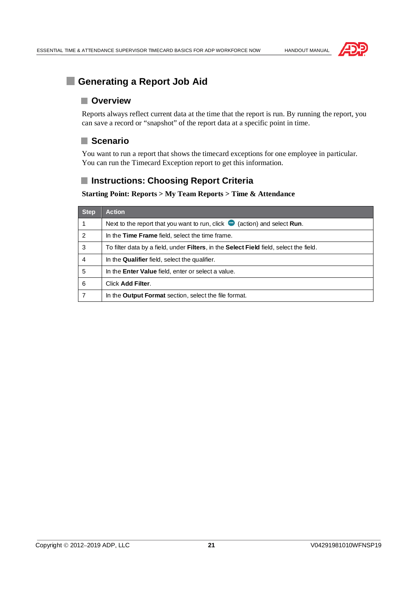



# **Generating a Report Job Aid**

#### **Overview**

Reports always reflect current data at the time that the report is run. By running the report, you can save a record or "snapshot" of the report data at a specific point in time.

#### **Scenario**

You want to run a report that shows the timecard exceptions for one employee in particular. You can run the Timecard Exception report to get this information.

### **Instructions: Choosing Report Criteria**

#### **Starting Point: Reports > My Team Reports > Time & Attendance**

| <b>Step</b>   | <b>Action</b>                                                                                         |
|---------------|-------------------------------------------------------------------------------------------------------|
|               | Next to the report that you want to run, click $\bullet$<br>(action) and select Run.                  |
| $\mathcal{P}$ | In the Time Frame field, select the time frame.                                                       |
| 3             | To filter data by a field, under <b>Filters</b> , in the <b>Select Field</b> field, select the field. |
| 4             | In the <b>Qualifier</b> field, select the qualifier.                                                  |
| 5             | In the <b>Enter Value</b> field, enter or select a value.                                             |
| 6             | Click Add Filter.                                                                                     |
| 7             | In the <b>Output Format</b> section, select the file format.                                          |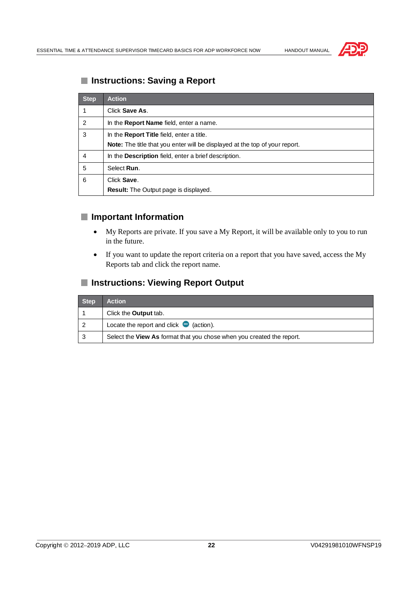

# **Instructions: Saving a Report**

| <b>Step</b> | <b>Action</b>                                                               |
|-------------|-----------------------------------------------------------------------------|
|             | Click Save As.                                                              |
| 2           | In the <b>Report Name</b> field, enter a name.                              |
| 3           | In the <b>Report Title</b> field, enter a title.                            |
|             | Note: The title that you enter will be displayed at the top of your report. |
| 4           | In the <b>Description</b> field, enter a brief description.                 |
| 5           | Select Run.                                                                 |
| 6           | Click Save.                                                                 |
|             | Result: The Output page is displayed.                                       |

### **Important Information**

- · My Reports are private. If you save a My Report, it will be available only to you to run in the future.
- · If you want to update the report criteria on a report that you have saved, access the My Reports tab and click the report name.

#### **Instructions: Viewing Report Output**

| <b>Step</b> | <b>Action</b>                                                         |
|-------------|-----------------------------------------------------------------------|
|             | Click the <b>Output</b> tab.                                          |
|             | Locate the report and click $\bullet$ (action).                       |
| ົ           | Select the View As format that you chose when you created the report. |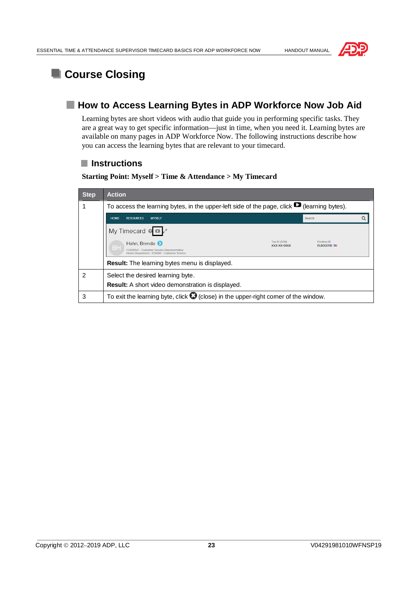



# **L** Course Closing

# **How to Access Learning Bytes in ADP Workforce Now Job Aid**

Learning bytes are short videos with audio that guide you in performing specific tasks. They are a great way to get specific information—just in time, when you need it. Learning bytes are available on many pages in ADP Workforce Now. The following instructions describe how you can access the learning bytes that are relevant to your timecard.

### **Instructions**

| <b>Step</b> | <b>Action</b>                                                                                                           |                             |                                 |  |  |  |  |  |  |
|-------------|-------------------------------------------------------------------------------------------------------------------------|-----------------------------|---------------------------------|--|--|--|--|--|--|
|             | To access the learning bytes, in the upper-left side of the page, click $\blacksquare$ (learning bytes).                |                             |                                 |  |  |  |  |  |  |
|             | <b>HOME</b><br><b>MYSELF</b><br><b>RESOURCES</b>                                                                        |                             | Search                          |  |  |  |  |  |  |
|             | My Timecard $\bullet$ $\bullet$                                                                                         |                             |                                 |  |  |  |  |  |  |
|             | Hahn, Brenda (><br>BН<br><b>CUSSRVC - Customer Service Representative</b><br>Home Department: 012000 - Customer Service | Tax ID (SSN)<br>XXX-XX-0068 | <b>Posttion ID</b><br>FL8000118 |  |  |  |  |  |  |
|             | <b>Result:</b> The learning bytes menu is displayed.                                                                    |                             |                                 |  |  |  |  |  |  |
| 2           | Select the desired learning byte.                                                                                       |                             |                                 |  |  |  |  |  |  |
|             | <b>Result:</b> A short video demonstration is displayed.                                                                |                             |                                 |  |  |  |  |  |  |
| 3           | To exit the learning byte, click $\bigcirc$ (close) in the upper-right comer of the window.                             |                             |                                 |  |  |  |  |  |  |

**Starting Point: Myself > Time & Attendance > My Timecard**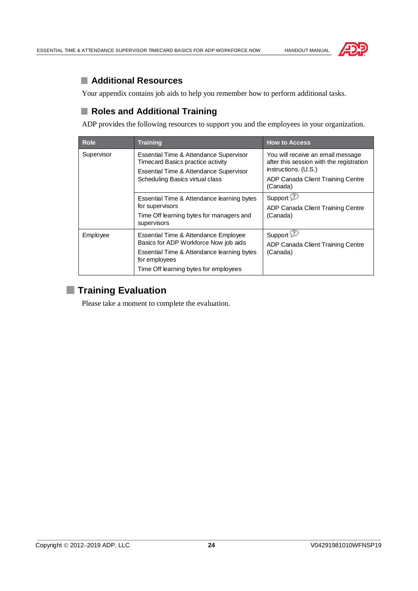

# **Additional Resources**

Your appendix contains job aids to help you remember how to perform additional tasks.

### **Roles and Additional Training**

ADP provides the following resources to support you and the employees in your organization.

| <b>Role</b> | <b>Training</b>                                                                                                                                                                       | <b>How to Access</b>                                                                                                                                   |  |  |
|-------------|---------------------------------------------------------------------------------------------------------------------------------------------------------------------------------------|--------------------------------------------------------------------------------------------------------------------------------------------------------|--|--|
| Supervisor  | Essential Time & Attendance Supervisor<br><b>Timecard Basics practice activity</b><br>Essential Time & Attendance Supervisor<br>Scheduling Basics virtual class                       | You will receive an email message<br>after this session with the registration<br>instructions. (U.S.)<br>ADP Canada Client Training Centre<br>(Canada) |  |  |
|             | Essential Time & Attendance learning bytes<br>for supervisors<br>Time Off learning bytes for managers and<br>supervisors                                                              | Support <sup>2</sup><br>ADP Canada Client Training Centre<br>(Canada)                                                                                  |  |  |
| Employee    | Essential Time & Attendance Employee<br>Basics for ADP Workforce Now job aids<br>Essential Time & Attendance learning bytes<br>for employees<br>Time Off learning bytes for employees | Support <sup>52</sup><br>ADP Canada Client Training Centre<br>(Canada)                                                                                 |  |  |

# **Training Evaluation**

Please take a moment to complete the evaluation.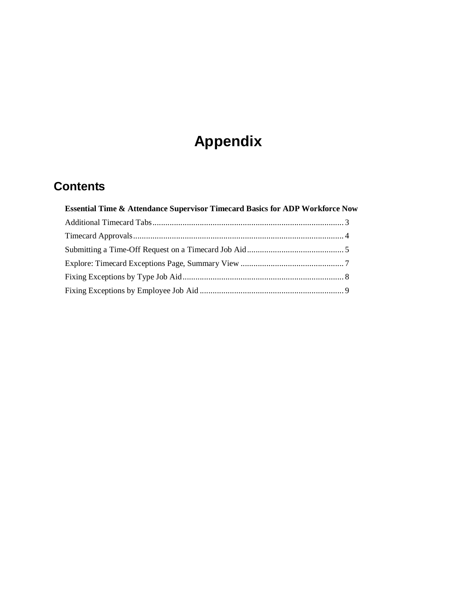# **Appendix**

# **Contents**

| <b>Essential Time &amp; Attendance Supervisor Timecard Basics for ADP Workforce Now</b> |  |
|-----------------------------------------------------------------------------------------|--|
|                                                                                         |  |
|                                                                                         |  |
|                                                                                         |  |
|                                                                                         |  |
|                                                                                         |  |
|                                                                                         |  |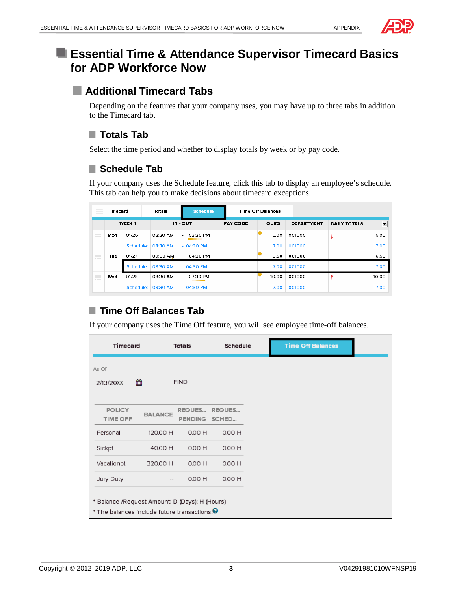

# **Example 3 Essential Time & Attendance Supervisor Timecard Basics for ADP Workforce Now**

# **Additional Timecard Tabs**

Depending on the features that your company uses, you may have up to three tabs in addition to the Timecard tab.

# **Totals Tab**

Select the time period and whether to display totals by week or by pay code.

### **Schedule Tab**

If your company uses the Schedule feature, click this tab to display an employee's schedule. This tab can help you to make decisions about timecard exceptions.

| $=$        | Timecard |                   | Schedule<br>Totals |                    |                 | <b>Time Off Balances</b> |                   |                     |                          |
|------------|----------|-------------------|--------------------|--------------------|-----------------|--------------------------|-------------------|---------------------|--------------------------|
|            |          | WEEK <sub>1</sub> | IN - OUT           |                    | <b>PAY CODE</b> | <b>HOURS</b>             | <b>DEPARTMENT</b> | <b>DAILY TOTALS</b> | $\overline{\phantom{a}}$ |
| $=$<br>$-$ | Mon      | 01/26             | 08:30 AM           | 03:30 PM<br>$\sim$ |                 | 6.00                     | 001000            |                     | 6.00                     |
|            |          | Schedule:         | 08:30 AM           | $-0430$ PM         |                 | 7.00                     | 001000            |                     | 7.00                     |
| $=$<br>$-$ | Tue      | 01/27             | 09:00 AM           | 04:30 PM<br>$\sim$ |                 | 6.50                     | 001000            |                     | 6.50                     |
|            |          | Schedule:         | 08:30 AM           | $-04:30$ PM        |                 | 7.00                     | 001000            |                     | 7.00                     |
| $=$<br>$-$ | Wed      | 01/28             | 08:30 AM           | 07:30 PM<br>$\sim$ |                 | 10.00                    | 001000            |                     | 10.00                    |
|            |          | Schedule:         | 08:30 AM           | $-04:30$ PM        |                 | 7.00                     | 001000            |                     | 7.00                     |

# **Time Off Balances Tab**

If your company uses the Time Off feature, you will see employee time-off balances.

| <b>Timecard</b>                                           |                                                     | Totals                   | <b>Schedule</b> |  | <b>Time Off Balances</b> |  |  |  |
|-----------------------------------------------------------|-----------------------------------------------------|--------------------------|-----------------|--|--------------------------|--|--|--|
| As Of                                                     |                                                     |                          |                 |  |                          |  |  |  |
| 2/13/20XX                                                 | 雦                                                   | <b>FIND</b>              |                 |  |                          |  |  |  |
|                                                           |                                                     |                          |                 |  |                          |  |  |  |
| <b>POLICY</b><br><b>TIME OFF</b>                          | <b>BALANCE</b>                                      | REQUES<br><b>PENDING</b> | REQUES<br>SCHED |  |                          |  |  |  |
| Personal                                                  | 120.00 H                                            | 0.00 H                   | 0.00 H          |  |                          |  |  |  |
| Sickpt                                                    | 40.00 H                                             | 0.00 H                   | 0.00 H          |  |                          |  |  |  |
| Vacationpt                                                | 320.00 H                                            | 0.00 H                   | 0.00 H          |  |                          |  |  |  |
| Jury Duty                                                 | $\hspace{0.05cm} -\hspace{0.05cm} -\hspace{0.05cm}$ | 0.00 H                   | 0.00 H          |  |                          |  |  |  |
|                                                           | * Balance /Request Amount: D (Days); H (Hours)      |                          |                 |  |                          |  |  |  |
| * The balances include future transactions. $\bm{\Theta}$ |                                                     |                          |                 |  |                          |  |  |  |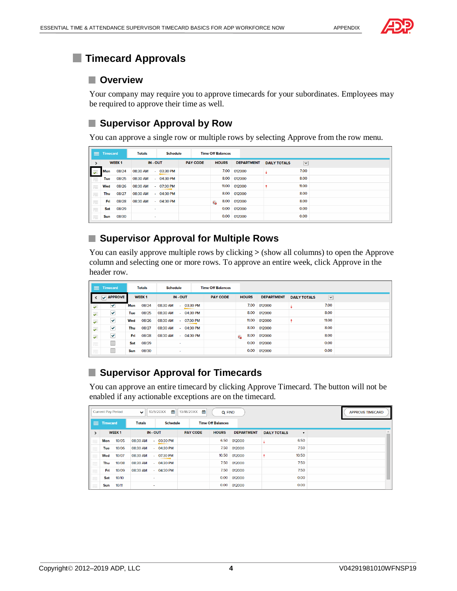

# **Timecard Approvals**

#### **Overview**

Your company may require you to approve timecards for your subordinates. Employees may be required to approve their time as well.

### **Supervisor Approval by Row**

You can approve a single row or multiple rows by selecting Approve from the row menu.

| $\equiv$                           | <b>Timecard</b> |              | <b>Totals</b> | <b>Schedule</b> |                 | <b>Time Off Balances</b> |                   |                     |                      |
|------------------------------------|-----------------|--------------|---------------|-----------------|-----------------|--------------------------|-------------------|---------------------|----------------------|
|                                    |                 | <b>WEEK1</b> | IN-OUT        |                 | <b>PAY CODE</b> | <b>HOURS</b>             | <b>DEPARTMENT</b> | <b>DAILY TOTALS</b> | $\blacktriangledown$ |
| $\overline{\mathbf{v}}$            | <b>Mon</b>      | 08/24        | 08:30 AM      | $-03:30$ PM     |                 | 7.00                     | 012000            |                     | 7.00                 |
| $=$<br>$-$                         | Tue             | 08/25        | 08:30 AM      | $-04:30$ PM     |                 | 8.00                     | 012000            |                     | 8.00                 |
| $\qquad \qquad =$<br>$-$           | Wed             | 08/26        | 08:30 AM      | $-07:30$ PM     |                 | 11.00                    | 012000            |                     | 11.00                |
| $\qquad \qquad =$<br>$\frac{1}{2}$ | Thu             | 08/27        | 08:30 AM      | $-04:30$ PM     |                 | 8.00                     | 012000            |                     | 8.00                 |
| $\qquad \qquad =\qquad$<br>$-$     | Fri.            | 08/28        | 08:30 AM      | $-04:30$ PM     |                 | 8.00<br>Q                | 012000            |                     | 8.00                 |
| $\equiv$                           | Sat             | 08/29        | ٠             |                 |                 | 0.00                     | 012000            |                     | 0.00                 |
| $\equiv$                           | Sun             | 08/30        | $\sim$        |                 |                 | 0.00                     | 012000            |                     | 0.00                 |

### **Supervisor Approval for Multiple Rows**

You can easily approve multiple rows by clicking **>** (show all columns) to open the Approve column and selecting one or more rows. To approve an entire week, click Approve in the header row.

| ≡.                                                                                                                                                                                                                                                                                                                                                                                                                                                                                                       | <b>Timecard</b> | <b>Totals</b><br><b>Schedule</b> |                   | <b>Time Off Balances</b> |        |             |                 |              |                   |                     |                      |
|----------------------------------------------------------------------------------------------------------------------------------------------------------------------------------------------------------------------------------------------------------------------------------------------------------------------------------------------------------------------------------------------------------------------------------------------------------------------------------------------------------|-----------------|----------------------------------|-------------------|--------------------------|--------|-------------|-----------------|--------------|-------------------|---------------------|----------------------|
| ≺                                                                                                                                                                                                                                                                                                                                                                                                                                                                                                        | <b>APPROVE</b>  |                                  | WEEK <sub>1</sub> |                          | IN-OUT |             | <b>PAY CODE</b> | <b>HOURS</b> | <b>DEPARTMENT</b> | <b>DAILY TOTALS</b> | $\blacktriangledown$ |
| $\overline{\mathbf{v}}$                                                                                                                                                                                                                                                                                                                                                                                                                                                                                  | ⊻               | Mon                              | 08/24             | 08:30 AM                 |        | $-03:30$ PM |                 | 7.00         | 012000            |                     | 7.00                 |
| ₹                                                                                                                                                                                                                                                                                                                                                                                                                                                                                                        | ⊻               | Tue                              | 08/25             | 08:30 AM                 |        | $-04:30$ PM |                 | 8.00         | 012000            |                     | 8.00                 |
| $\overline{\mathbf{v}}$                                                                                                                                                                                                                                                                                                                                                                                                                                                                                  | ⊻               | Wed                              | 08/26             | 08:30 AM                 |        | $-07:30$ PM |                 | 11.00        | 012000            |                     | 11.00                |
| $\overline{\mathbf{v}}$                                                                                                                                                                                                                                                                                                                                                                                                                                                                                  | ✔               | Thu                              | 08/27             | 08:30 AM                 |        | $-04:30$ PM |                 | 8.00         | 012000            |                     | 8.00                 |
| ÷.                                                                                                                                                                                                                                                                                                                                                                                                                                                                                                       | ✔               | Fri                              | 08/28             | 08:30 AM                 |        | $-04:30$ PM |                 | 8.00<br>Q    | 012000            |                     | 8.00                 |
| $=$<br>$v = -1$                                                                                                                                                                                                                                                                                                                                                                                                                                                                                          |                 | Sat                              | 08/29             |                          | ٠      |             |                 | 0.00         | 012000            |                     | 0.00                 |
| $\frac{1}{2}$<br>$\frac{1}{2} \left( \frac{1}{2} \right) \left( \frac{1}{2} \right) \left( \frac{1}{2} \right) \left( \frac{1}{2} \right) \left( \frac{1}{2} \right) \left( \frac{1}{2} \right) \left( \frac{1}{2} \right) \left( \frac{1}{2} \right) \left( \frac{1}{2} \right) \left( \frac{1}{2} \right) \left( \frac{1}{2} \right) \left( \frac{1}{2} \right) \left( \frac{1}{2} \right) \left( \frac{1}{2} \right) \left( \frac{1}{2} \right) \left( \frac{1}{2} \right) \left( \frac$<br>$\nu = -$ |                 | Sun                              | 08/30             |                          | $\sim$ |             |                 | 0.00         | 012000            |                     | 0.00                 |

# ■ Supervisor Approval for Timecards

You can approve an entire timecard by clicking Approve Timecard. The button will not be enabled if any actionable exceptions are on the timecard.

|                | <b>Current Pay Period</b> |                   | $\checkmark$  | 兽<br>10/5/20XX  | 网<br>10/18/20XX | Q FIND                   |                   |                     |              | <b>APPROVE TIMECARD</b> |
|----------------|---------------------------|-------------------|---------------|-----------------|-----------------|--------------------------|-------------------|---------------------|--------------|-------------------------|
| $\equiv$       | <b>Timecard</b>           |                   | <b>Totals</b> | <b>Schedule</b> |                 | <b>Time Off Balances</b> |                   |                     |              |                         |
| ᠈              |                           | WEEK <sub>1</sub> |               | IN - OUT        | <b>PAY CODE</b> | <b>HOURS</b>             | <b>DEPARTMENT</b> | <b>DAILY TOTALS</b> | $\mathbf{v}$ |                         |
| $\sim$         | Mon                       | 10/05             | 08:30 AM      | $-03:30$ PM     |                 | 6.50                     | 012000            |                     | 6.50         |                         |
| $\sim$         | Tue                       | 10/06             | 08:30 AM      | $-04:30$ PM     |                 | 7.50                     | 012000            |                     | 7.50         |                         |
| $\vert$ .      | Wed                       | 10/07             | 08:30 AM      | $-07:30$ PM     |                 | 10.50                    | 012000            |                     | 10.50        |                         |
| $\overline{a}$ | Thu                       | 10/08             | 08:30 AM      | $-04:30$ PM     |                 | 7.50                     | 012000            |                     | 7.50         |                         |
| $\overline{a}$ | Fri                       | 10/09             | 08:30 AM      | $-04:30$ PM     |                 | 7.50                     | 012000            |                     | 7.50         |                         |
| $\sim$         | Sat                       | 10/10             |               | $\sim$          |                 | 0.00                     | 012000            |                     | 0.00         |                         |
| $\overline{a}$ | Sun                       | 10/11             |               | $\sim$          |                 | 0.00                     | 012000            |                     | 0.00         |                         |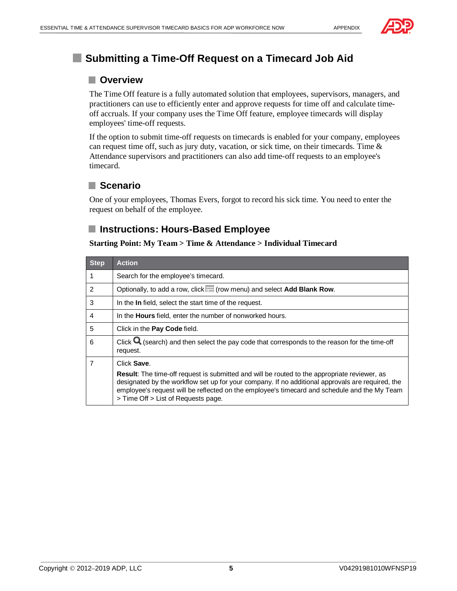



# **Submitting a Time-Off Request on a Timecard Job Aid**

### **Overview**

The Time Off feature is a fully automated solution that employees, supervisors, managers, and practitioners can use to efficiently enter and approve requests for time off and calculate timeoff accruals. If your company uses the Time Off feature, employee timecards will display employees' time-off requests.

If the option to submit time-off requests on timecards is enabled for your company, employees can request time off, such as jury duty, vacation, or sick time, on their timecards. Time  $\&$ Attendance supervisors and practitioners can also add time-off requests to an employee's timecard.

### **Scenario**

One of your employees, Thomas Evers, forgot to record his sick time. You need to enter the request on behalf of the employee.

### **Instructions: Hours-Based Employee**

| <b>Step</b>    | <b>Action</b>                                                                                                                                                                                                                                                                                                                                  |
|----------------|------------------------------------------------------------------------------------------------------------------------------------------------------------------------------------------------------------------------------------------------------------------------------------------------------------------------------------------------|
|                | Search for the employee's timecard.                                                                                                                                                                                                                                                                                                            |
| $\mathcal{P}$  | Optionally, to add a row, click (row menu) and select Add Blank Row.                                                                                                                                                                                                                                                                           |
| 3              | In the In field, select the start time of the request.                                                                                                                                                                                                                                                                                         |
| $\overline{4}$ | In the <b>Hours</b> field, enter the number of nonworked hours.                                                                                                                                                                                                                                                                                |
| 5              | Click in the Pay Code field.                                                                                                                                                                                                                                                                                                                   |
| 6              | Click $\mathbf Q$ (search) and then select the pay code that corresponds to the reason for the time-off<br>request.                                                                                                                                                                                                                            |
| $\overline{7}$ | Click Save.                                                                                                                                                                                                                                                                                                                                    |
|                | <b>Result:</b> The time-off request is submitted and will be routed to the appropriate reviewer, as<br>designated by the workflow set up for your company. If no additional approvals are required, the<br>employee's request will be reflected on the employee's timecard and schedule and the My Team<br>> Time Off > List of Requests page. |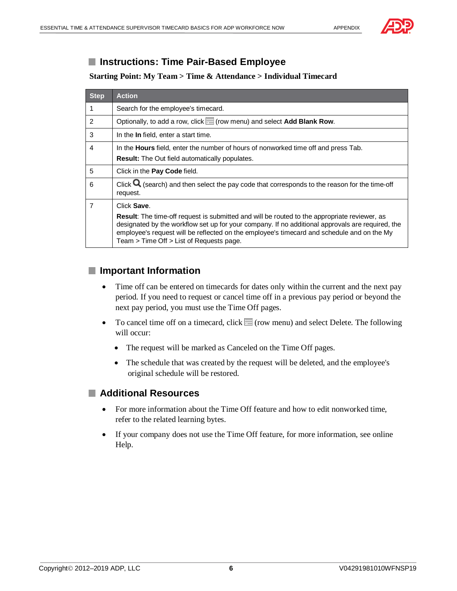

### **Instructions: Time Pair-Based Employee**

#### **Starting Point: My Team > Time & Attendance > Individual Timecard**

| <b>Step</b>   | <b>Action</b>                                                                                                                                                                                                                                                                                                                                         |  |  |  |
|---------------|-------------------------------------------------------------------------------------------------------------------------------------------------------------------------------------------------------------------------------------------------------------------------------------------------------------------------------------------------------|--|--|--|
| 1             | Search for the employee's timecard.                                                                                                                                                                                                                                                                                                                   |  |  |  |
| $\mathcal{P}$ | Optionally, to add a row, click $\equiv$ (row menu) and select Add Blank Row.                                                                                                                                                                                                                                                                         |  |  |  |
| 3             | In the In field, enter a start time.                                                                                                                                                                                                                                                                                                                  |  |  |  |
| 4             | In the <b>Hours</b> field, enter the number of hours of nonworked time off and press Tab.                                                                                                                                                                                                                                                             |  |  |  |
|               | <b>Result:</b> The Out field automatically populates.                                                                                                                                                                                                                                                                                                 |  |  |  |
| 5             | Click in the Pay Code field.                                                                                                                                                                                                                                                                                                                          |  |  |  |
| 6             | Click $\mathbf Q$ (search) and then select the pay code that corresponds to the reason for the time-off<br>request.                                                                                                                                                                                                                                   |  |  |  |
| 7             | Click Save.                                                                                                                                                                                                                                                                                                                                           |  |  |  |
|               | <b>Result:</b> The time-off request is submitted and will be routed to the appropriate reviewer, as<br>designated by the workflow set up for your company. If no additional approvals are required, the<br>employee's request will be reflected on the employee's timecard and schedule and on the My<br>Team $>$ Time Off $>$ List of Requests page. |  |  |  |

### **Important Information**

- Time off can be entered on timecards for dates only within the current and the next pay period. If you need to request or cancel time off in a previous pay period or beyond the next pay period, you must use the Time Off pages.
- To cancel time off on a timecard, click  $\equiv$  (row menu) and select Delete. The following will occur:
	- The request will be marked as Canceled on the Time Off pages.
	- · The schedule that was created by the request will be deleted, and the employee's original schedule will be restored.

### **Additional Resources**

- For more information about the Time Off feature and how to edit nonworked time, refer to the related learning bytes.
- · If your company does not use the Time Off feature, for more information, see online Help.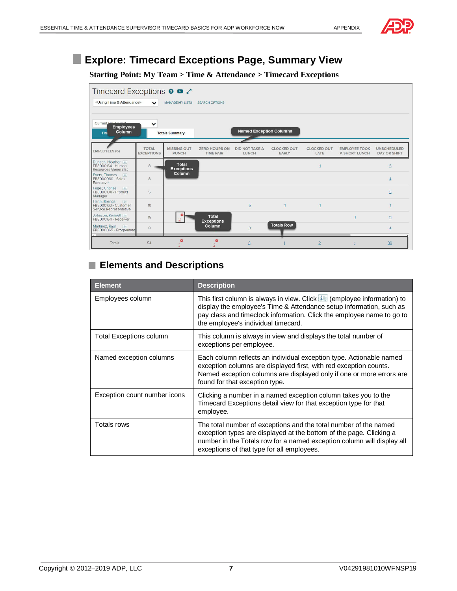# **Explore: Timecard Exceptions Page, Summary View**

#### **Starting Point: My Team > Time & Attendance > Timecard Exceptions**

| Timecard Exceptions <b>0 □</b><br><using &="" attendance="" time=""></using> | $\checkmark$                      | <b>MANAGE MY LISTS</b>             | <b>SEARCH OPTIONS</b>                    |                                       |                             |                            |                                              |                                           |
|------------------------------------------------------------------------------|-----------------------------------|------------------------------------|------------------------------------------|---------------------------------------|-----------------------------|----------------------------|----------------------------------------------|-------------------------------------------|
| Current Dev Derion<br><b>Employees</b><br>Column<br>Tim                      | $\checkmark$                      | <b>Totals Summary</b>              |                                          | <b>Named Exception Columns</b>        |                             |                            |                                              |                                           |
| <b>EMPLOYEES (6)</b>                                                         | <b>TOTAL</b><br><b>EXCEPTIONS</b> | <b>MISSING OUT</b><br><b>PUNCH</b> | <b>ZERO HOURS ON</b><br><b>TIME PAIR</b> | <b>DID NOT TAKE A</b><br><b>LUNCH</b> | <b>CLOCKED OUT</b><br>EARLY | <b>CLOCKED OUT</b><br>LATE | <b>EMPLOYEE TOOK</b><br><b>A SHORT LUNCH</b> | <b>UNSCHEDULED</b><br><b>DAY OR SHIFT</b> |
| Duncan, Heather [1]<br>FR8000164 - Human<br><b>Resources Generalist</b>      | $\overline{8}$                    | <b>Total</b><br><b>Exceptions</b>  |                                          |                                       |                             |                            |                                              | 5                                         |
| Evers, Thomas<br>FB8000060 - Sales<br>Executive                              | 8                                 | Column                             |                                          |                                       |                             |                            |                                              | $\overline{4}$                            |
| Fager, Charles [1]<br>FB8000100 - Product<br>Manager                         | 5                                 |                                    |                                          |                                       |                             |                            |                                              | 5                                         |
| Hahn, Brenda<br>in<br>FB8000163 - Customer<br>Service Representative         | 10 <sup>10</sup>                  |                                    |                                          | 5 <sub>5</sub>                        | $\overline{1}$              |                            |                                              |                                           |
| Johnson, Kenneth i<br>FB8000160 - Receiver                                   | 15                                |                                    | Total<br><b>Exceptions</b>               |                                       |                             |                            |                                              | 11                                        |
| Martinez, Raul<br>$\vert\,\vert\,\vert$<br>FB8000065 - Programme             | 8                                 |                                    | Column                                   | $\overline{3}$                        | <b>Totals Row</b>           |                            |                                              | $\overline{4}$                            |
| Totals                                                                       | 54                                | $\bullet$<br>3                     | $\bullet$<br>2                           | 8                                     |                             | $\overline{2}$             | 1                                            | 30                                        |

# **Elements and Descriptions**

| <b>Element</b>                 | <b>Description</b>                                                                                                                                                                                                                                                    |
|--------------------------------|-----------------------------------------------------------------------------------------------------------------------------------------------------------------------------------------------------------------------------------------------------------------------|
| Employees column               | This first column is always in view. Click <b>it (employee information)</b> to<br>display the employee's Time & Attendance setup information, such as<br>pay class and timeclock information. Click the employee name to go to<br>the employee's individual timecard. |
| <b>Total Exceptions column</b> | This column is always in view and displays the total number of<br>exceptions per employee.                                                                                                                                                                            |
| Named exception columns        | Each column reflects an individual exception type. Actionable named<br>exception columns are displayed first, with red exception counts.<br>Named exception columns are displayed only if one or more errors are<br>found for that exception type.                    |
| Exception count number icons   | Clicking a number in a named exception column takes you to the<br>Timecard Exceptions detail view for that exception type for that<br>employee.                                                                                                                       |
| Totals rows                    | The total number of exceptions and the total number of the named<br>exception types are displayed at the bottom of the page. Clicking a<br>number in the Totals row for a named exception column will display all<br>exceptions of that type for all employees.       |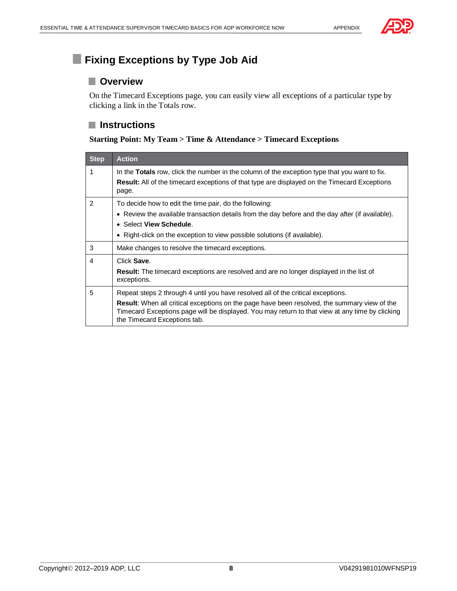

# **Fixing Exceptions by Type Job Aid**

#### **Overview**

On the Timecard Exceptions page, you can easily view all exceptions of a particular type by clicking a link in the Totals row.

#### **Instructions**

#### **Starting Point: My Team > Time & Attendance > Timecard Exceptions**

| <b>Step</b>    | <b>Action</b>                                                                                                                                                                                                                   |
|----------------|---------------------------------------------------------------------------------------------------------------------------------------------------------------------------------------------------------------------------------|
| 1              | In the <b>Totals</b> row, click the number in the column of the exception type that you want to fix.<br><b>Result:</b> All of the timecard exceptions of that type are displayed on the Timecard Exceptions<br>page.            |
| $\mathfrak{p}$ | To decide how to edit the time pair, do the following:                                                                                                                                                                          |
|                | • Review the available transaction details from the day before and the day after (if available).                                                                                                                                |
|                | • Select View Schedule.                                                                                                                                                                                                         |
|                | • Right-click on the exception to view possible solutions (if available).                                                                                                                                                       |
| 3              | Make changes to resolve the timecard exceptions.                                                                                                                                                                                |
| 4              | Click Save                                                                                                                                                                                                                      |
|                | <b>Result:</b> The timecard exceptions are resolved and are no longer displayed in the list of<br>exceptions.                                                                                                                   |
| 5              | Repeat steps 2 through 4 until you have resolved all of the critical exceptions.                                                                                                                                                |
|                | Result: When all critical exceptions on the page have been resolved, the summary view of the<br>Timecard Exceptions page will be displayed. You may return to that view at any time by clicking<br>the Timecard Exceptions tab. |